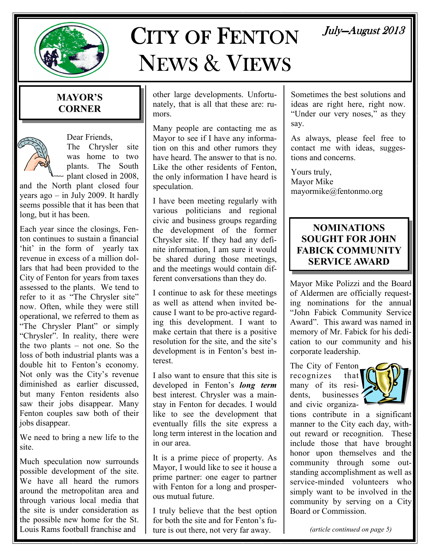

# CITY OF FENTON NEWS & VIEWS

## July-August 2013

### MAYOR'S **CORNER**



Dear Friends, The Chrysler site was home to two plants. The South - plant closed in 2008,

and the North plant closed four years ago – in July 2009. It hardly seems possible that it has been that long, but it has been.

Each year since the closings, Fenton continues to sustain a financial 'hit' in the form of yearly tax revenue in excess of a million dollars that had been provided to the City of Fenton for years from taxes assessed to the plants. We tend to refer to it as "The Chrysler site" now. Often, while they were still operational, we referred to them as "The Chrysler Plant" or simply "Chrysler". In reality, there were the two plants – not one. So the loss of both industrial plants was a double hit to Fenton's economy. Not only was the City's revenue diminished as earlier discussed, but many Fenton residents also saw their jobs disappear. Many Fenton couples saw both of their jobs disappear.

We need to bring a new life to the site.

Much speculation now surrounds possible development of the site. We have all heard the rumors around the metropolitan area and through various local media that the site is under consideration as the possible new home for the St. Louis Rams football franchise and

other large developments. Unfortunately, that is all that these are: rumors.

Many people are contacting me as Mayor to see if I have any information on this and other rumors they have heard. The answer to that is no. Like the other residents of Fenton, the only information I have heard is speculation.

I have been meeting regularly with various politicians and regional civic and business groups regarding the development of the former Chrysler site. If they had any definite information, I am sure it would be shared during those meetings, and the meetings would contain different conversations than they do.

I continue to ask for these meetings as well as attend when invited because I want to be pro-active regarding this development. I want to make certain that there is a positive resolution for the site, and the site's development is in Fenton's best interest.

I also want to ensure that this site is developed in Fenton's *long term* best interest. Chrysler was a mainstay in Fenton for decades. I would like to see the development that eventually fills the site express a long term interest in the location and in our area.

It is a prime piece of property. As Mayor, I would like to see it house a prime partner: one eager to partner with Fenton for a long and prosperous mutual future.

I truly believe that the best option for both the site and for Fenton's future is out there, not very far away.

Sometimes the best solutions and ideas are right here, right now. "Under our very noses," as they say.

As always, please feel free to contact me with ideas, suggestions and concerns.

Yours truly, Mayor Mike mayormike@fentonmo.org

### NOMINATIONS SOUGHT FOR JOHN FABICK COMMUNITY SERVICE AWARD

Mayor Mike Polizzi and the Board of Aldermen are officially requesting nominations for the annual "John Fabick Community Service Award". This award was named in memory of Mr. Fabick for his dedication to our community and his corporate leadership.

The City of Fenton recognizes that many of its residents, businesses ' and civic organiza-



tions contribute in a significant manner to the City each day, without reward or recognition. These include those that have brought honor upon themselves and the community through some outstanding accomplishment as well as service-minded volunteers who simply want to be involved in the community by serving on a City Board or Commission.

(article continued on page 5)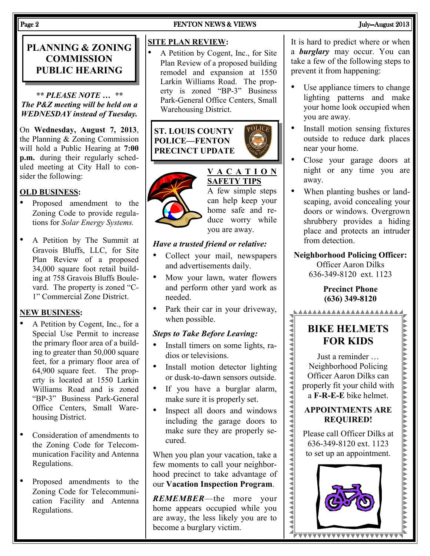## PLANNING & ZONING **COMMISSION** PUBLIC HEARING

\*\* PLEASE NOTE … \*\* The P&Z meeting will be held on a WEDNESDAY instead of Tuesday.

On Wednesday, August 7, 2013, the Planning & Zoning Commission will hold a Public Hearing at 7:00 p.m. during their regularly scheduled meeting at City Hall to consider the following:

### OLD BUSINESS:

- Proposed amendment to the Zoning Code to provide regulations for Solar Energy Systems.
- A Petition by The Summit at Gravois Bluffs, LLC, for Site Plan Review of a proposed 34,000 square foot retail building at 758 Gravois Bluffs Boulevard. The property is zoned "C-1" Commercial Zone District.

### NEW BUSINESS:

- A Petition by Cogent, Inc., for a Special Use Permit to increase the primary floor area of a building to greater than 50,000 square feet, for a primary floor area of 64,900 square feet. The property is located at 1550 Larkin Williams Road and is zoned "BP-3" Business Park-General Office Centers, Small Warehousing District.
- Consideration of amendments to the Zoning Code for Telecommunication Facility and Antenna Regulations.
- Proposed amendments to the Zoning Code for Telecommunication Facility and Antenna Regulations.

## Page 2 FENTON NEWS & VIEWS FENTON NEWS & VIEWS FENTON NEWS AUGUST 2013

### SITE PLAN REVIEW:

• A Petition by Cogent, Inc., for Site Plan Review of a proposed building remodel and expansion at 1550 Larkin Williams Road. The property is zoned "BP-3" Business Park-General Office Centers, Small Warehousing District.

ST. LOUIS COUNTY POLICE—FENTON PRECINCT UPDATE



### V A C A T I O N SAFETY TIPS A few simple steps can help keep your

home safe and reduce worry while you are away.

#### Have a trusted friend or relative:

- Collect your mail, newspapers and advertisements daily.
- Mow your lawn, water flowers and perform other yard work as needed.
- Park their car in your driveway, when possible.

#### Steps to Take Before Leaving:

- Install timers on some lights, radios or televisions.
- Install motion detector lighting or dusk-to-dawn sensors outside.
- If you have a burglar alarm, make sure it is properly set.
- Inspect all doors and windows including the garage doors to make sure they are properly secured.

When you plan your vacation, take a few moments to call your neighborhood precinct to take advantage of our Vacation Inspection Program.

REMEMBER—the more your home appears occupied while you are away, the less likely you are to become a burglary victim.

It is hard to predict where or when a **burglary** may occur. You can take a few of the following steps to prevent it from happening:

- Use appliance timers to change lighting patterns and make your home look occupied when you are away.
- Install motion sensing fixtures outside to reduce dark places near your home.
- Close your garage doors at night or any time you are away.
- When planting bushes or landscaping, avoid concealing your doors or windows. Overgrown shrubbery provides a hiding place and protects an intruder from detection.
- Neighborhood Policing Officer: Officer Aaron Dilks 636-349-8120 ext. 1123

#### Precinct Phone (636) 349-8120

## BIKE HELMETS FOR KIDS

AAAAAAAAAAAAAAAAAAAAA

Just a reminder … Neighborhood Policing Officer Aaron Dilks can properly fit your child with a F-R-E-E bike helmet.

### APPOINTMENTS ARE REQUIRED!

Please call Officer Dilks at 636-349-8120 ext. 1123 to set up an appointment.

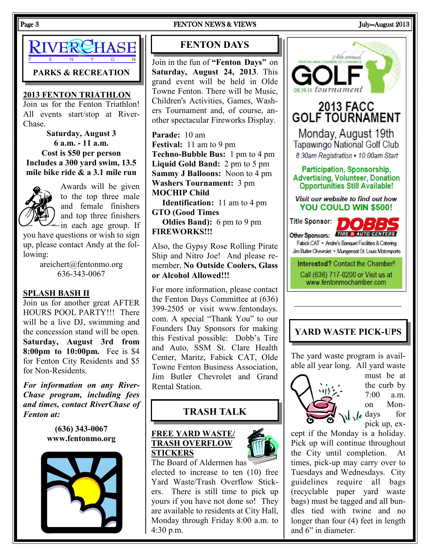

PARKS & RECREATION

#### 2013 FENTON TRIATHLON

Join us for the Fenton Triathlon! All events start/stop at River-Chase.

Saturday, August 3 6 a.m. - 11 a.m. Cost is \$50 per person Includes a 300 yard swim, 13.5 mile bike ride & a 3.1 mile run



Awards will be given to the top three male and female finishers and top three finishers in each age group. If

you have questions or wish to sign up, please contact Andy at the following:

> areichert@fentonmo.org 636-343-0067

#### SPLASH BASH II

Join us for another great AFTER HOURS POOL PARTY!!! There will be a live DJ, swimming and the concession stand will be open. Saturday, August 3rd from 8:00pm to 10:00pm. Fee is \$4 for Fenton City Residents and \$5 for Non-Residents.

For information on any River-Chase program, including fees and times, contact RiverChase of Fenton at:

> (636) 343-0067 www.fentonmo.org



#### Page 3 FENTON NEWS & VIEWS FENTON NEWS & VIEWS July—August 2013

### FENTON DAYS

Join in the fun of "Fenton Days" on Saturday, August 24, 2013. This grand event will be held in Olde Towne Fenton. There will be Music, Children's Activities, Games, Washers Tournament and, of course, another spectacular Fireworks Display.

Parade: 10 am Festival: 11 am to 9 pm Techno-Bubble Bus: 1 pm to 4 pm Liquid Gold Band: 2 pm to 5 pm Sammy J Balloons: Noon to 4 pm Washers Tournament: 3 pm MOCHIP Child

 Identification: 11 am to 4 pm GTO (Good Times

 Oldies Band): 6 pm to 9 pm FIREWORKS!!!

Also, the Gypsy Rose Rolling Pirate Ship and Nitro Joe! And please remember, No Outside Coolers, Glass or Alcohol Allowed!!!

For more information, please contact the Fenton Days Committee at (636) 399-2505 or visit www.fentondays. com. A special "Thank You" to our Founders Day Sponsors for making this Festival possible: Dobb's Tire and Auto, SSM St. Clare Health Center, Maritz, Fabick CAT, Olde Towne Fenton Business Association, Jim Butler Chevrolet and Grand Rental Station.

### TRASH TALK

#### FREE YARD WASTE/ TRASH OVERFLOW **STICKERS**



The Board of Aldermen has elected to increase to ten (10) free Yard Waste/Trash Overflow Stickers. There is still time to pick up yours if you have not done so! They are available to residents at City Hall, Monday through Friday 8:00 a.m. to 4:30 p.m.

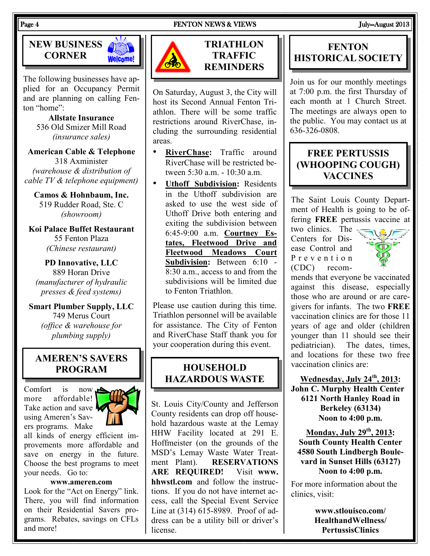

The following businesses have applied for an Occupancy Permit and are planning on calling Fenton "home":

> Allstate Insurance 536 Old Smizer Mill Road (insurance sales)

American Cable & Telephone 318 Axminister (warehouse & distribution of cable TV & telephone equipment)

Camos & Hohnbaum, Inc. 519 Rudder Road, Ste. C (showroom)

Koi Palace Buffet Restaurant 55 Fenton Plaza (Chinese restaurant)

PD Innovative, LLC 889 Horan Drive (manufacturer of hydraulic presses & feed systems)

Smart Plumber Supply, LLC 749 Merus Court (office & warehouse for plumbing supply)

### AMEREN'S SAVERS PROGRAM

Comfort is now more affordable! Take action and save **A** using Ameren's Savers programs. Make



all kinds of energy efficient improvements more affordable and save on energy in the future. Choose the best programs to meet your needs. Go to:

www.ameren.com

Look for the "Act on Energy" link. There, you will find information on their Residential Savers programs. Rebates, savings on CFLs and more!



TRIATHLON **TRAFFIC REMINDERS** 

On Saturday, August 3, the City will host its Second Annual Fenton Triathlon. There will be some traffic restrictions around RiverChase, including the surrounding residential areas.

- RiverChase: Traffic around RiverChase will be restricted between 5:30 a.m. - 10:30 a.m.
- Uthoff Subdivision: Residents in the Uthoff subdivision are asked to use the west side of Uthoff Drive both entering and exiting the subdivision between 6:45-9:00 a.m. Courtney Estates, Fleetwood Drive and Fleetwood Meadows Court Subdivision: Between 6:10 - 8:30 a.m., access to and from the subdivisions will be limited due to Fenton Triathlon.

Please use caution during this time. Triathlon personnel will be available for assistance. The City of Fenton and RiverChase Staff thank you for your cooperation during this event.

### **HOUSEHOLD** HAZARDOUS WASTE

St. Louis City/County and Jefferson County residents can drop off household hazardous waste at the Lemay HHW Facility located at 291 E. Hoffmeister (on the grounds of the MSD's Lemay Waste Water Treatment Plant). RESERVATIONS ARE REQUIRED! Visit www. hhwstl.com and follow the instructions. If you do not have internet access, call the Special Event Service Line at (314) 615-8989. Proof of address can be a utility bill or driver's license.

### **FENTON** HISTORICAL SOCIETY

Join us for our monthly meetings at 7:00 p.m. the first Thursday of each month at 1 Church Street. The meetings are always open to the public. You may contact us at 636-326-0808.

### FREE PERTUSSIS (WHOOPING COUGH) **VACCINES**

The Saint Louis County Department of Health is going to be offering FREE pertussis vaccine at

two clinics. The Centers for Disease Control and P r e v e n t i o n (CDC) recom-



mends that everyone be vaccinated against this disease, especially those who are around or are caregivers for infants. The two FREE vaccination clinics are for those 11 years of age and older (children younger than 11 should see their pediatrician). The dates, times, and locations for these two free vaccination clinics are:

Wednesday, July 24<sup>th</sup>, 2013: John C. Murphy Health Center 6121 North Hanley Road in Berkeley (63134) Noon to 4:00 p.m.

Monday, July  $29<sup>th</sup>$ , 2013: South County Health Center 4580 South Lindbergh Boulevard in Sunset Hills (63127) Noon to 4:00 p.m.

For more information about the clinics, visit:

> www.stlouisco.com/ HealthandWellness/ PertussisClinics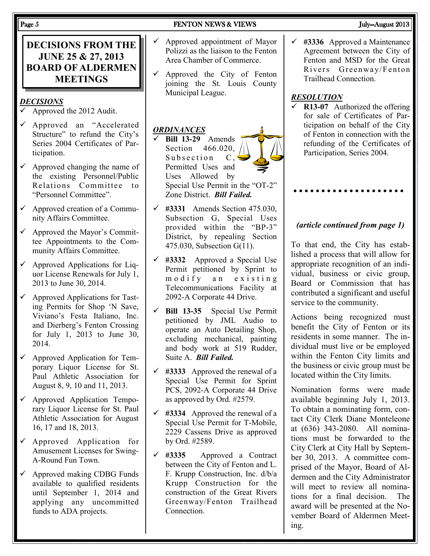| <b>DECISIONS FROM THE</b><br><b>JUNE 25 &amp; 27, 2013</b><br><b>BOARD OF ALDERMEN</b><br><b>MEETINGS</b> | Approved appointment of Mayor<br>$\checkmark$<br>Polizzi as the liaison to the Fenton<br>Area Chamber of Commerce.<br>Approved the City of Fenton<br>$\checkmark$<br>joining the St. Louis County |
|-----------------------------------------------------------------------------------------------------------|---------------------------------------------------------------------------------------------------------------------------------------------------------------------------------------------------|
| <u>DECISIONS</u>                                                                                          | Municipal League.                                                                                                                                                                                 |
| Approved the 2012 Audit.                                                                                  | <b>ORDINANCES</b>                                                                                                                                                                                 |
| Approved an "Accelerated                                                                                  | Bill 13-29 Amends                                                                                                                                                                                 |
| ✓                                                                                                         | 466.020,                                                                                                                                                                                          |
| Structure" to refund the City's                                                                           | Section                                                                                                                                                                                           |
| Series 2004 Certificates of Par-                                                                          | Subsection                                                                                                                                                                                        |
| ticipation.                                                                                               | $\mathcal{C}$ ,                                                                                                                                                                                   |
| Approved changing the name of                                                                             | Permitted Uses and                                                                                                                                                                                |
| ✓                                                                                                         | Uses Allowed by                                                                                                                                                                                   |
| the existing Personnel/Public                                                                             | Special Use Permit in the "OT-2"                                                                                                                                                                  |
| Relations Committee                                                                                       | Zone District. Bill Failed.                                                                                                                                                                       |
| $\mathfrak{t}$                                                                                            | #3331 Amends Section 475.030,                                                                                                                                                                     |
| "Personnel Committee".                                                                                    | $\checkmark$                                                                                                                                                                                      |
| Approved creation of a Commu-                                                                             | Subsection G, Special Uses                                                                                                                                                                        |
| $\checkmark$                                                                                              | provided within the "BP-3"                                                                                                                                                                        |
| nity Affairs Committee.                                                                                   | District, by repealing Section                                                                                                                                                                    |
| $\checkmark$                                                                                              | 475.030, Subsection G(11).                                                                                                                                                                        |
| Approved the Mayor's Commit-                                                                              | #3332 Approved a Special Use                                                                                                                                                                      |
| tee Appointments to the Com-                                                                              | ✓                                                                                                                                                                                                 |
| munity Affairs Committee.                                                                                 | Permit petitioned by Sprint to                                                                                                                                                                    |
| $\checkmark$                                                                                              | modify an existing                                                                                                                                                                                |
| Approved Applications for Liq-                                                                            | Telecommunications Facility at                                                                                                                                                                    |
| uor License Renewals for July 1,                                                                          | 2092-A Corporate 44 Drive.                                                                                                                                                                        |
| 2013 to June 30, 2014.                                                                                    | Bill 13-35 Special Use Permit                                                                                                                                                                     |
| Approved Applications for Tast-                                                                           | ✓                                                                                                                                                                                                 |
| ✓                                                                                                         | petitioned by JML Audio to                                                                                                                                                                        |
| ing Permits for Shop 'N Save,                                                                             | operate an Auto Detailing Shop,                                                                                                                                                                   |
| Viviano's Festa Italiano, Inc.                                                                            | excluding mechanical, painting                                                                                                                                                                    |
| and Dierberg's Fenton Crossing                                                                            | and body work at 519 Rudder,                                                                                                                                                                      |
| for July 1, 2013 to June 30,                                                                              | Suite A. Bill Failed.                                                                                                                                                                             |
| 2014.                                                                                                     | $\checkmark$ #3333 Approved the renewal of a                                                                                                                                                      |
| Approved Application for Tem-                                                                             | Special Use Permit for Sprint                                                                                                                                                                     |
| porary Liquor License for St.                                                                             | PCS, 2092-A Corporate 44 Drive                                                                                                                                                                    |
| Paul Athletic Association for                                                                             | as approved by Ord. #2579.                                                                                                                                                                        |
| August 8, 9, 10 and 11, 2013.                                                                             | $\checkmark$                                                                                                                                                                                      |
| Approved Application Tempo-                                                                               | #3334 Approved the renewal of a                                                                                                                                                                   |
| rary Liquor License for St. Paul                                                                          | Special Use Permit for T-Mobile,                                                                                                                                                                  |
| Athletic Association for August                                                                           | 2229 Cassens Drive as approved                                                                                                                                                                    |
| 16, 17 and 18, 2013.                                                                                      | by Ord. #2589.                                                                                                                                                                                    |
| Approved Application for                                                                                  | ✓                                                                                                                                                                                                 |
| ✓                                                                                                         | #3335                                                                                                                                                                                             |
| Amusement Licenses for Swing-                                                                             | Approved a Contract                                                                                                                                                                               |
| A-Round Fun Town.                                                                                         | between the City of Fenton and L.                                                                                                                                                                 |
| Approved making CDBG Funds                                                                                | F. Krupp Construction, Inc. d/b/a                                                                                                                                                                 |
| available to qualified residents                                                                          | Krupp Construction for the                                                                                                                                                                        |
| until September 1, 2014 and                                                                               | construction of the Great Rivers                                                                                                                                                                  |
| applying any uncommitted                                                                                  | Greenway/Fenton Trailhead                                                                                                                                                                         |
| funds to ADA projects.                                                                                    | Connection.                                                                                                                                                                                       |

#### PARTON NEWS & VIEWS FENTON NEWS 4018

 $\checkmark$  #3336 Approved a Maintenance Agreement between the City of Fenton and MSD for the Great Rivers Greenway/Fenton Trailhead Connection.

#### **RESOLUTION**

 $\overline{\triangledown}$  R13-07 Authorized the offering for sale of Certificates of Participation on behalf of the City of Fenton in connection with the refunding of the Certificates of Participation, Series 2004.

#### (article continued from page 1)

To that end, the City has established a process that will allow for appropriate recognition of an individual, business or civic group, Board or Commission that has contributed a significant and useful service to the community.

Actions being recognized must benefit the City of Fenton or its residents in some manner. The individual must live or be employed within the Fenton City limits and the business or civic group must be located within the City limits.

Nomination forms were made available beginning July 1, 2013. To obtain a nominating form, contact City Clerk Diane Monteleone at (636) 343-2080. All nominations must be forwarded to the City Clerk at City Hall by September 30, 2013. A committee comprised of the Mayor, Board of Aldermen and the City Administrator will meet to review all nominations for a final decision. The award will be presented at the November Board of Aldermen Meeting.